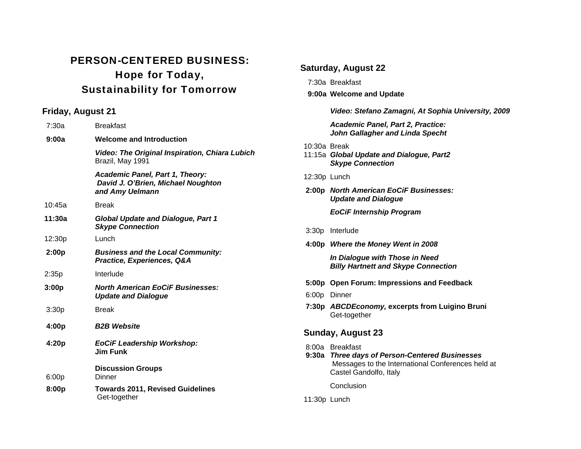## PERSON-CENTERED BUSINESS: Hope for Today, Sustainability for Tomorrow

## **Friday, August 21**

| 7:30a  | <b>Breakfast</b>                                                                                |
|--------|-------------------------------------------------------------------------------------------------|
| 9:00a  | <b>Welcome and Introduction</b>                                                                 |
|        | Video: The Original Inspiration, Chiara Lubich<br>Brazil, May 1991                              |
|        | <b>Academic Panel, Part 1, Theory:</b><br>David J. O'Brien, Michael Noughton<br>and Amy Uelmann |
| 10:45a | <b>Break</b>                                                                                    |
| 11:30a | <b>Global Update and Dialogue, Part 1</b><br><b>Skype Connection</b>                            |
| 12:30p | Lunch                                                                                           |
| 2:00p  | <b>Business and the Local Community:</b><br>Practice, Experiences, Q&A                          |
| 2:35p  | Interlude                                                                                       |
| 3:00p  | <b>North American EoCiF Businesses:</b><br><b>Update and Dialogue</b>                           |
| 3:30p  | <b>Break</b>                                                                                    |
| 4:00p  | <b>B2B Website</b>                                                                              |
| 4:20p  | <b>EoCiF Leadership Workshop:</b><br><b>Jim Funk</b>                                            |
| 6:00p  | <b>Discussion Groups</b><br>Dinner                                                              |
| 8:00p  | <b>Towards 2011, Revised Guidelines</b><br>Get-together                                         |

|                   | <b>Saturday, August 22</b>                                                                                                                       |  |
|-------------------|--------------------------------------------------------------------------------------------------------------------------------------------------|--|
| 7:30a Breakfast   |                                                                                                                                                  |  |
|                   | 9:00a Welcome and Update                                                                                                                         |  |
|                   | Video: Stefano Zamagni, At Sophia University, 2009                                                                                               |  |
|                   | Academic Panel, Part 2, Practice:<br><b>John Gallagher and Linda Specht</b>                                                                      |  |
| 10:30a Break      | 11:15a Global Update and Dialogue, Part2<br><b>Skype Connection</b>                                                                              |  |
| 12:30p Lunch      |                                                                                                                                                  |  |
|                   | 2:00p North American EoCiF Businesses:<br><b>Update and Dialogue</b>                                                                             |  |
|                   | <b>EoCiF Internship Program</b>                                                                                                                  |  |
|                   | 3:30p Interlude                                                                                                                                  |  |
|                   | 4:00p Where the Money Went in 2008                                                                                                               |  |
|                   | In Dialogue with Those in Need<br><b>Billy Hartnett and Skype Connection</b>                                                                     |  |
|                   | 5:00p Open Forum: Impressions and Feedback                                                                                                       |  |
|                   | 6:00p Dinner                                                                                                                                     |  |
|                   | 7:30p ABCDEconomy, excerpts from Luigino Bruni<br>Get-together                                                                                   |  |
| Sunday, August 23 |                                                                                                                                                  |  |
|                   | 8:00a Breakfast<br>9:30a Three days of Person-Centered Businesses<br>Messages to the International Conferences held at<br>Castel Gandolfo, Italy |  |
|                   | Conclusion                                                                                                                                       |  |
| 11:30p Lunch      |                                                                                                                                                  |  |